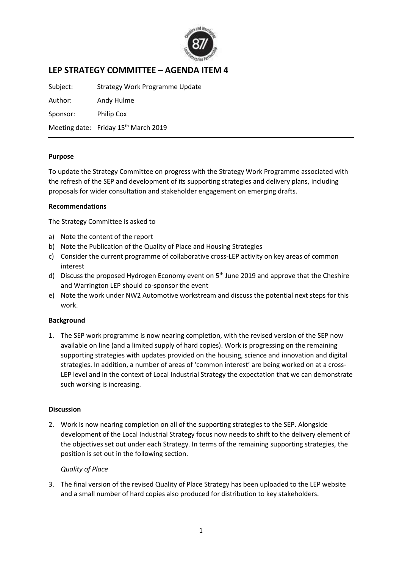

# **LEP STRATEGY COMMITTEE – AGENDA ITEM 4**

Subject: Strategy Work Programme Update

Author: Andy Hulme Sponsor: Philip Cox

Meeting date: Friday 15<sup>th</sup> March 2019

#### **Purpose**

To update the Strategy Committee on progress with the Strategy Work Programme associated with the refresh of the SEP and development of its supporting strategies and delivery plans, including proposals for wider consultation and stakeholder engagement on emerging drafts.

#### **Recommendations**

The Strategy Committee is asked to

- a) Note the content of the report
- b) Note the Publication of the Quality of Place and Housing Strategies
- c) Consider the current programme of collaborative cross-LEP activity on key areas of common interest
- d) Discuss the proposed Hydrogen Economy event on  $5<sup>th</sup>$  June 2019 and approve that the Cheshire and Warrington LEP should co-sponsor the event
- e) Note the work under NW2 Automotive workstream and discuss the potential next steps for this work.

# **Background**

1. The SEP work programme is now nearing completion, with the revised version of the SEP now available on line (and a limited supply of hard copies). Work is progressing on the remaining supporting strategies with updates provided on the housing, science and innovation and digital strategies. In addition, a number of areas of 'common interest' are being worked on at a cross-LEP level and in the context of Local Industrial Strategy the expectation that we can demonstrate such working is increasing.

# **Discussion**

2. Work is now nearing completion on all of the supporting strategies to the SEP. Alongside development of the Local Industrial Strategy focus now needs to shift to the delivery element of the objectives set out under each Strategy. In terms of the remaining supporting strategies, the position is set out in the following section.

#### *Quality of Place*

3. The final version of the revised Quality of Place Strategy has been uploaded to the LEP website and a small number of hard copies also produced for distribution to key stakeholders.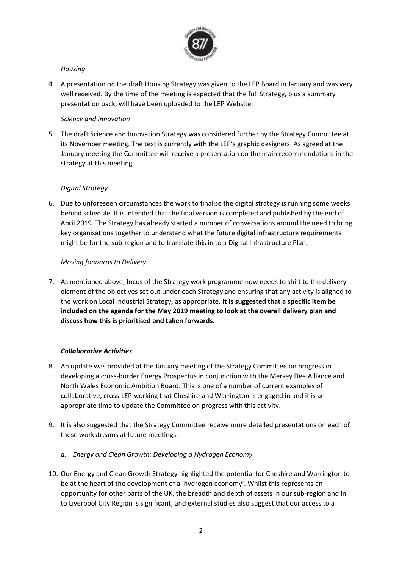

# *Housing*

4. A presentation on the draft Housing Strategy was given to the LEP Board in January and was very well received. By the time of the meeting is expected that the full Strategy, plus a summary presentation pack, will have been uploaded to the LEP Website.

#### *Science and Innovation*

5. The draft Science and Innovation Strategy was considered further by the Strategy Committee at its November meeting. The text is currently with the LEP's graphic designers. As agreed at the January meeting the Committee will receive a presentation on the main recommendations in the strategy at this meeting.

# *Digital Strategy*

6. Due to unforeseen circumstances the work to finalise the digital strategy is running some weeks behind schedule. It is intended that the final version is completed and published by the end of April 2019. The Strategy has already started a number of conversations around the need to bring key organisations together to understand what the future digital infrastructure requirements might be for the sub-region and to translate this in to a Digital Infrastructure Plan.

# *Moving forwards to Delivery*

7. As mentioned above, focus of the Strategy work programme now needs to shift to the delivery element of the objectives set out under each Strategy and ensuring that any activity is aligned to the work on Local Industrial Strategy, as appropriate. **It is suggested that a specific item be included on the agenda for the May 2019 meeting to look at the overall delivery plan and discuss how this is prioritised and taken forwards.**

# *Collaborative Activities*

- 8. An update was provided at the January meeting of the Strategy Committee on progress in developing a cross-border Energy Prospectus in conjunction with the Mersey Dee Alliance and North Wales Economic Ambition Board. This is one of a number of current examples of collaborative, cross-LEP working that Cheshire and Warrington is engaged in and it is an appropriate time to update the Committee on progress with this activity.
- 9. It is also suggested that the Strategy Committee receive more detailed presentations on each of these workstreams at future meetings.
	- *a. Energy and Clean Growth: Developing a Hydrogen Economy*
- 10. Our Energy and Clean Growth Strategy highlighted the potential for Cheshire and Warrington to be at the heart of the development of a 'hydrogen economy'. Whilst this represents an opportunity for other parts of the UK, the breadth and depth of assets in our sub-region and in to Liverpool City Region is significant, and external studies also suggest that our access to a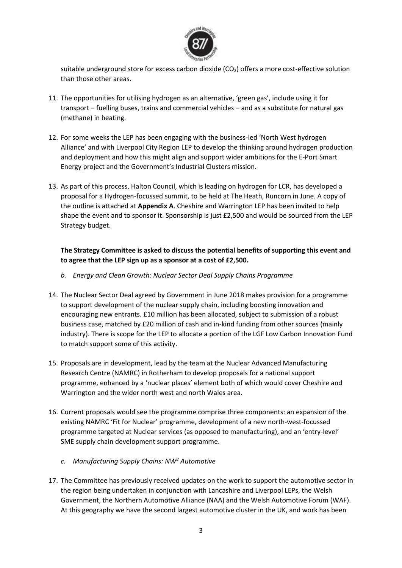

suitable underground store for excess carbon dioxide  $(CO<sub>2</sub>)$  offers a more cost-effective solution than those other areas.

- 11. The opportunities for utilising hydrogen as an alternative, 'green gas', include using it for transport – fuelling buses, trains and commercial vehicles – and as a substitute for natural gas (methane) in heating.
- 12. For some weeks the LEP has been engaging with the business-led 'North West hydrogen Alliance' and with Liverpool City Region LEP to develop the thinking around hydrogen production and deployment and how this might align and support wider ambitions for the E-Port Smart Energy project and the Government's Industrial Clusters mission.
- 13. As part of this process, Halton Council, which is leading on hydrogen for LCR, has developed a proposal for a Hydrogen-focussed summit, to be held at The Heath, Runcorn in June. A copy of the outline is attached at **Appendix A**. Cheshire and Warrington LEP has been invited to help shape the event and to sponsor it. Sponsorship is just £2,500 and would be sourced from the LEP Strategy budget.

# **The Strategy Committee is asked to discuss the potential benefits of supporting this event and to agree that the LEP sign up as a sponsor at a cost of £2,500.**

- *b. Energy and Clean Growth: Nuclear Sector Deal Supply Chains Programme*
- 14. The Nuclear Sector Deal agreed by Government in June 2018 makes provision for a programme to support development of the nuclear supply chain, including boosting innovation and encouraging new entrants. £10 million has been allocated, subject to submission of a robust business case, matched by £20 million of cash and in-kind funding from other sources (mainly industry). There is scope for the LEP to allocate a portion of the LGF Low Carbon Innovation Fund to match support some of this activity.
- 15. Proposals are in development, lead by the team at the Nuclear Advanced Manufacturing Research Centre (NAMRC) in Rotherham to develop proposals for a national support programme, enhanced by a 'nuclear places' element both of which would cover Cheshire and Warrington and the wider north west and north Wales area.
- 16. Current proposals would see the programme comprise three components: an expansion of the existing NAMRC 'Fit for Nuclear' programme, development of a new north-west-focussed programme targeted at Nuclear services (as opposed to manufacturing), and an 'entry-level' SME supply chain development support programme.
	- *c. Manufacturing Supply Chains: NW<sup>2</sup> Automotive*
- 17. The Committee has previously received updates on the work to support the automotive sector in the region being undertaken in conjunction with Lancashire and Liverpool LEPs, the Welsh Government, the Northern Automotive Alliance (NAA) and the Welsh Automotive Forum (WAF). At this geography we have the second largest automotive cluster in the UK, and work has been